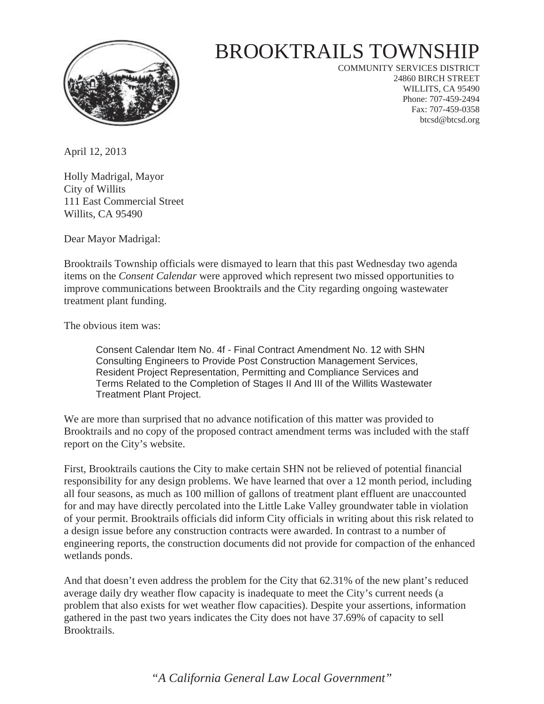

## BROOKTRAILS TOWNSHIP

COMMUNITY SERVICES DISTRICT 24860 BIRCH STREET WILLITS, CA 95490 Phone: 707-459-2494 Fax: 707-459-0358 btcsd@btcsd.org

April 12, 2013

Holly Madrigal, Mayor City of Willits 111 East Commercial Street Willits, CA 95490

Dear Mayor Madrigal:

Brooktrails Township officials were dismayed to learn that this past Wednesday two agenda items on the *Consent Calendar* were approved which represent two missed opportunities to improve communications between Brooktrails and the City regarding ongoing wastewater treatment plant funding.

The obvious item was:

Consent Calendar Item No. 4f - Final Contract Amendment No. 12 with SHN Consulting Engineers to Provide Post Construction Management Services, Resident Project Representation, Permitting and Compliance Services and Terms Related to the Completion of Stages II And III of the Willits Wastewater Treatment Plant Project.

We are more than surprised that no advance notification of this matter was provided to Brooktrails and no copy of the proposed contract amendment terms was included with the staff report on the City's website.

First, Brooktrails cautions the City to make certain SHN not be relieved of potential financial responsibility for any design problems. We have learned that over a 12 month period, including all four seasons, as much as 100 million of gallons of treatment plant effluent are unaccounted for and may have directly percolated into the Little Lake Valley groundwater table in violation of your permit. Brooktrails officials did inform City officials in writing about this risk related to a design issue before any construction contracts were awarded. In contrast to a number of engineering reports, the construction documents did not provide for compaction of the enhanced wetlands ponds.

And that doesn't even address the problem for the City that 62.31% of the new plant's reduced average daily dry weather flow capacity is inadequate to meet the City's current needs (a problem that also exists for wet weather flow capacities). Despite your assertions, information gathered in the past two years indicates the City does not have 37.69% of capacity to sell Brooktrails.

*"A California General Law Local Government"*